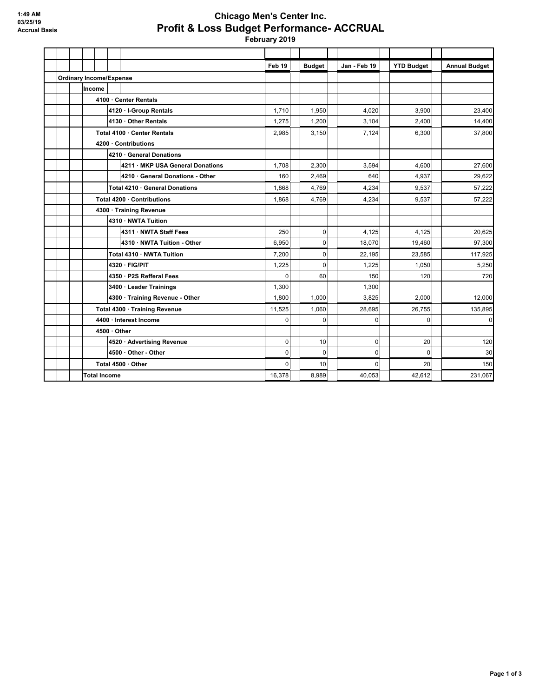## **Chicago Men's Center Inc. Profit & Loss Budget Performance- ACCRUAL**

 **February 2019**

|                                |                     |                               |                         |                                  | Feb 19      |   | <b>Budget</b> | <b>Jan - Feb 19</b> | <b>YTD Budget</b> | <b>Annual Budget</b> |
|--------------------------------|---------------------|-------------------------------|-------------------------|----------------------------------|-------------|---|---------------|---------------------|-------------------|----------------------|
| <b>Ordinary Income/Expense</b> |                     |                               |                         |                                  |             |   |               |                     |                   |                      |
|                                |                     | Income                        |                         |                                  |             |   |               |                     |                   |                      |
|                                |                     | 4100 · Center Rentals         |                         |                                  |             |   |               |                     |                   |                      |
|                                |                     |                               |                         | 4120 · I-Group Rentals           | 1,710       |   | 1,950         | 4,020               | 3,900             | 23,400               |
|                                |                     |                               |                         | 4130 · Other Rentals             | 1,275       |   | 1,200         | 3,104               | 2,400             | 14,400               |
|                                |                     | Total 4100 · Center Rentals   |                         |                                  | 2,985       |   | 3,150         | 7,124               | 6,300             | 37,800               |
|                                |                     | 4200 · Contributions          |                         |                                  |             |   |               |                     |                   |                      |
|                                |                     |                               |                         | 4210 · General Donations         |             |   |               |                     |                   |                      |
|                                |                     |                               |                         | 4211 · MKP USA General Donations | 1,708       |   | 2,300         | 3,594               | 4.600             | 27,600               |
|                                |                     |                               |                         | 4210 · General Donations - Other | 160         |   | 2,469         | 640                 | 4,937             | 29,622               |
|                                |                     |                               |                         | Total 4210 · General Donations   | 1,868       |   | 4,769         | 4.234               | 9,537             | 57,222               |
|                                |                     |                               |                         | Total 4200 · Contributions       | 1,868       |   | 4,769         | 4,234               | 9,537             | 57,222               |
|                                |                     |                               | 4300 · Training Revenue |                                  |             |   |               |                     |                   |                      |
|                                |                     |                               |                         | 4310 · NWTA Tuition              |             |   |               |                     |                   |                      |
|                                |                     |                               |                         | 4311 · NWTA Staff Fees           | 250         |   | 0             | 4,125               | 4,125             | 20,625               |
|                                |                     |                               |                         | 4310 · NWTA Tuition - Other      | 6,950       |   | 0             | 18,070              | 19,460            | 97,300               |
|                                |                     |                               |                         | Total 4310 · NWTA Tuition        | 7,200       |   | 0             | 22.195              | 23,585            | 117,925              |
|                                |                     |                               |                         | 4320 · FIG/PIT                   | 1,225       |   | $\Omega$      | 1.225               | 1,050             | 5,250                |
|                                |                     |                               |                         | 4350 · P2S Refferal Fees         | $\Omega$    |   | 60            | 150                 | 120               | 720                  |
|                                |                     |                               |                         | 3400 · Leader Trainings          | 1,300       |   |               | 1.300               |                   |                      |
|                                |                     |                               |                         | 4300 · Training Revenue - Other  | 1,800       |   | 1,000         | 3,825               | 2,000             | 12,000               |
|                                |                     | Total 4300 · Training Revenue |                         |                                  | 11,525      |   | 1,060         | 28.695              | 26.755            | 135,895              |
|                                |                     | 4400 · Interest Income        |                         | $\Omega$                         |             | 0 | 0             | $\Omega$            | $\mathbf 0$       |                      |
|                                |                     | 4500 · Other                  |                         |                                  |             |   |               |                     |                   |                      |
|                                |                     |                               |                         | 4520 · Advertising Revenue       | 0           |   | 10            | 0                   | 20                | 120                  |
|                                |                     |                               |                         | 4500 · Other - Other             | $\mathbf 0$ |   | 0             | $\mathbf 0$         | $\Omega$          | 30                   |
|                                |                     |                               |                         | Total 4500 · Other               | $\Omega$    |   | 10            | $\Omega$            | 20                | 150                  |
|                                | <b>Total Income</b> |                               |                         |                                  | 16,378      |   | 8,989         | 40.053              | 42.612            | 231,067              |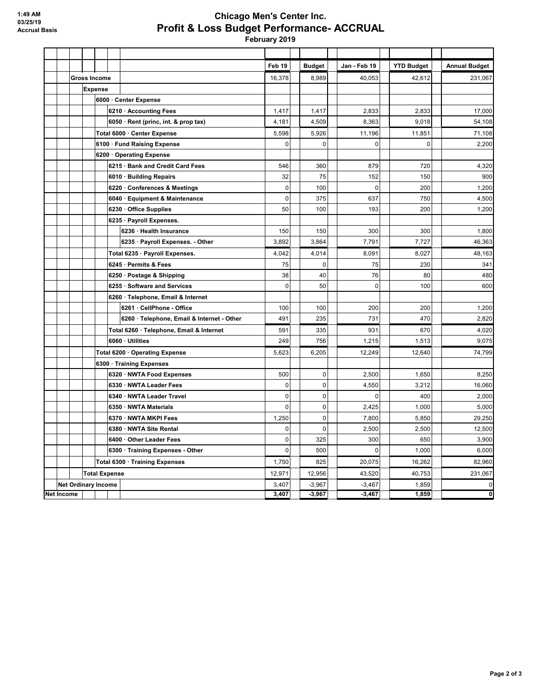## **Chicago Men's Center Inc. Profit & Loss Budget Performance- ACCRUAL**

 **February 2019**

|            |                            |                                |                     |  |                                            | Feb <sub>19</sub> | <b>Budget</b> | Jan - Feb 19 | <b>YTD Budget</b> | <b>Annual Budget</b> |
|------------|----------------------------|--------------------------------|---------------------|--|--------------------------------------------|-------------------|---------------|--------------|-------------------|----------------------|
|            |                            |                                | <b>Gross Income</b> |  |                                            | 16,378            | 8,989         | 40,053       | 42,612            | 231,067              |
|            |                            | <b>Expense</b>                 |                     |  |                                            |                   |               |              |                   |                      |
|            |                            |                                |                     |  | 6000 · Center Expense                      |                   |               |              |                   |                      |
|            |                            |                                |                     |  | 6210 · Accounting Fees                     | 1,417             | 1,417         | 2,833        | 2,833             | 17,000               |
|            |                            |                                |                     |  | 6050 · Rent (princ, int. & prop tax)       | 4,181             | 4,509         | 8,363        | 9,018             | 54,108               |
|            |                            |                                |                     |  | Total 6000 · Center Expense                | 5,598             | 5,926         | 11,196       | 11,851            | 71,108               |
|            |                            |                                |                     |  | 6100 · Fund Raising Expense                | $\mathbf 0$       | 0             | 0            | $\mathbf 0$       | 2,200                |
|            |                            |                                |                     |  | 6200 Operating Expense                     |                   |               |              |                   |                      |
|            |                            |                                |                     |  | 6215 · Bank and Credit Card Fees           | 546               | 360           | 879          | 720               | 4,320                |
|            |                            |                                |                     |  | 6010 · Building Repairs                    | 32                | 75            | 152          | 150               | 900                  |
|            |                            |                                |                     |  | 6220 · Conferences & Meetings              | $\pmb{0}$         | 100           | $\mathbf 0$  | 200               | 1,200                |
|            |                            |                                |                     |  | 6040 · Equipment & Maintenance             | $\pmb{0}$         | 375           | 637          | 750               | 4,500                |
|            |                            |                                |                     |  | 6230 · Office Supplies                     | 50                | 100           | 193          | 200               | 1,200                |
|            |                            |                                |                     |  | 6235 · Payroll Expenses.                   |                   |               |              |                   |                      |
|            |                            |                                |                     |  | 6236 · Health Insurance                    | 150               | 150           | 300          | 300               | 1,800                |
|            |                            |                                |                     |  | 6235 · Payroll Expenses. - Other           | 3,892             | 3,864         | 7,791        | 7,727             | 46,363               |
|            |                            |                                |                     |  | Total 6235 · Payroll Expenses.             | 4,042             | 4,014         | 8,091        | 8,027             | 48,163               |
|            |                            |                                |                     |  | 6245 · Permits & Fees                      | 75                | 0             | 75           | 230               | 341                  |
|            |                            |                                |                     |  | 6250 · Postage & Shipping                  | 38                | 40            | 76           | 80                | 480                  |
|            |                            |                                |                     |  | 6255 · Software and Services               | $\mathbf 0$       | 50            | $\mathbf 0$  | 100               | 600                  |
|            |                            |                                |                     |  | 6260 · Telephone, Email & Internet         |                   |               |              |                   |                      |
|            |                            |                                |                     |  | 6261 · CellPhone - Office                  | 100               | 100           | 200          | 200               | 1,200                |
|            |                            |                                |                     |  | 6260 · Telephone, Email & Internet - Other | 491               | 235           | 731          | 470               | 2,820                |
|            |                            |                                |                     |  | Total 6260 · Telephone, Email & Internet   | 591               | 335           | 931          | 670               | 4,020                |
|            |                            |                                |                     |  | 6060 · Utilities                           | 249               | 756           | 1,215        | 1,513             | 9,075                |
|            |                            |                                |                     |  | Total 6200 · Operating Expense             | 5,623             | 6,205         | 12,249       | 12,640            | 74,799               |
|            |                            |                                |                     |  | 6300 · Training Expenses                   |                   |               |              |                   |                      |
|            |                            |                                |                     |  | 6320 · NWTA Food Expenses                  | 500               | $\mathbf 0$   | 2,500        | 1,650             | 8,250                |
|            |                            |                                |                     |  | 6330 · NWTA Leader Fees                    | $\mathbf 0$       | 0             | 4,550        | 3,212             | 16,060               |
|            |                            |                                |                     |  | 6340 · NWTA Leader Travel                  | $\pmb{0}$         | 0             | $\mathbf 0$  | 400               | 2,000                |
|            |                            |                                |                     |  | 6350 · NWTA Materials                      | $\pmb{0}$         | 0             | 2,425        | 1,000             | 5,000                |
|            |                            |                                |                     |  | 6370 · NWTA MKPI Fees                      | 1,250             | 0             | 7,800        | 5,850             | 29,250               |
|            |                            |                                |                     |  | 6380 · NWTA Site Rental                    | 0                 | 0             | 2,500        | 2,500             | 12,500               |
|            |                            |                                |                     |  | 6400 Other Leader Fees                     | $\mathbf 0$       | 325           | 300          | 650               | 3,900                |
|            |                            |                                |                     |  | 6300 · Training Expenses - Other           | $\mathbf 0$       | 500           | $\Omega$     | 1,000             | 6,000                |
|            |                            | Total 6300 · Training Expenses |                     |  | 1,750                                      | 825               | 20,075        | 16,262       | 82,960            |                      |
|            | <b>Total Expense</b>       |                                |                     |  | 12,971                                     | 12,956            | 43,520        | 40,753       | 231,067           |                      |
|            | <b>Net Ordinary Income</b> |                                |                     |  |                                            | 3,407             | $-3,967$      | $-3,467$     | 1,859             | 0                    |
| Net Income |                            |                                |                     |  |                                            | 3,407             | $-3,967$      | $-3,467$     | 1,859             | 0                    |